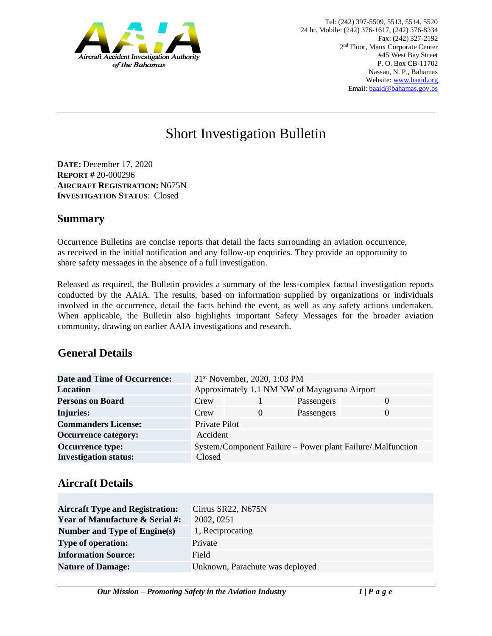

# Short Investigation Bulletin

**DATE:** December 17, 2020 **REPORT #** 20-000296 **AIRCRAFT REGISTRATION:** N675N **INVESTIGATION STATUS**: Closed

#### **Summary**

Occurrence Bulletins are concise reports that detail the facts surrounding an aviation occurrence, as received in the initial notification and any follow-up enquiries. They provide an opportunity to share safety messages in the absence of a full investigation*.* 

Released as required, the Bulletin provides a summary of the less-complex factual investigation reports conducted by the AAIA. The results, based on information supplied by organizations or individuals involved in the occurrence, detail the facts behind the event, as well as any safety actions undertaken. When applicable, the Bulletin also highlights important Safety Messages for the broader aviation community, drawing on earlier AAIA investigations and research.

### **General Details**

| <b>Date and Time of Occurrence:</b> | $21st$ November, 2020, 1:03 PM                              |          |            |          |
|-------------------------------------|-------------------------------------------------------------|----------|------------|----------|
| <b>Location</b>                     | Approximately 1.1 NM NW of Mayaguana Airport                |          |            |          |
| <b>Persons on Board</b>             | Crew                                                        |          | Passengers | $\Omega$ |
| <b>Injuries:</b>                    | Crew                                                        | $\theta$ | Passengers | 0        |
| <b>Commanders License:</b>          | Private Pilot                                               |          |            |          |
| <b>Occurrence category:</b>         | Accident                                                    |          |            |          |
| <b>Occurrence type:</b>             | System/Component Failure – Power plant Failure/ Malfunction |          |            |          |
| <b>Investigation status:</b>        | Closed                                                      |          |            |          |

### **Aircraft Details**

| <b>Aircraft Type and Registration:</b><br><b>Year of Manufacture &amp; Serial #:</b> | Cirrus SR22, N675N<br>2002, 0251 |
|--------------------------------------------------------------------------------------|----------------------------------|
| Number and Type of Engine(s)                                                         | 1, Reciprocating                 |
| <b>Type of operation:</b>                                                            | Private                          |
| <b>Information Source:</b>                                                           | Field                            |
| <b>Nature of Damage:</b>                                                             | Unknown, Parachute was deployed  |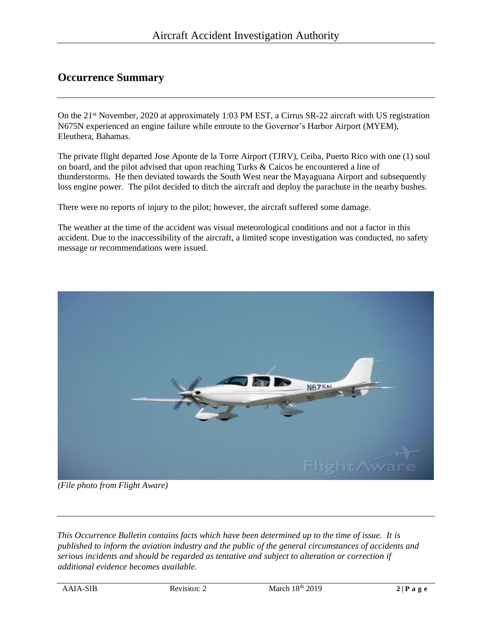## **Occurrence Summary**

On the 21<sup>st</sup> November, 2020 at approximately 1:03 PM EST, a Cirrus SR-22 aircraft with US registration N675N experienced an engine failure while enroute to the Governor's Harbor Airport (MYEM), Eleuthera, Bahamas.

The private flight departed Jose Aponte de la Torre Airport (TJRV), Ceiba, Puerto Rico with one (1) soul on board, and the pilot advised that upon reaching Turks & Caicos he encountered a line of thunderstorms. He then deviated towards the South West near the Mayaguana Airport and subsequently loss engine power. The pilot decided to ditch the aircraft and deploy the parachute in the nearby bushes.

There were no reports of injury to the pilot; however, the aircraft suffered some damage.

The weather at the time of the accident was visual meteorological conditions and not a factor in this accident. Due to the inaccessibility of the aircraft, a limited scope investigation was conducted, no safety message or recommendations were issued.



*(File photo from Flight Aware)*

*This Occurrence Bulletin contains facts which have been determined up to the time of issue. It is published to inform the aviation industry and the public of the general circumstances of accidents and serious incidents and should be regarded as tentative and subject to alteration or correction if additional evidence becomes available.*